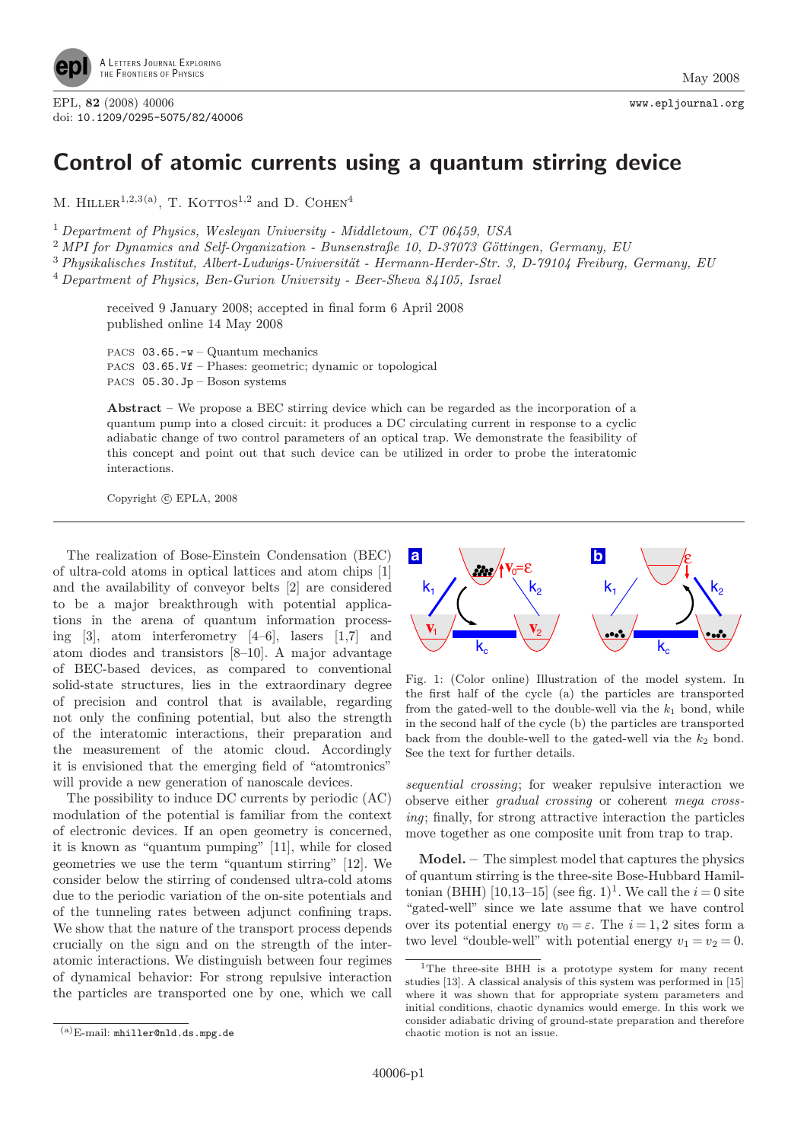

## Control of atomic currents using a quantum stirring device

M. HILLER<sup>1,2,3(a)</sup>, T. KOTTOS<sup>1,2</sup> and D. COHEN<sup>4</sup>

<sup>1</sup> Department of Physics, Wesleyan University - Middletown, CT 06459, USA

 $^{2}$  MPI for Dynamics and Self-Organization - Bunsenstraße 10, D-37073 Göttingen, Germany, EU

 $3$  Physikalisches Institut, Albert-Ludwigs-Universität - Hermann-Herder-Str. 3, D-79104 Freiburg, Germany, EU

<sup>4</sup> Department of Physics, Ben-Gurion University - Beer-Sheva 84105, Israel

received 9 January 2008; accepted in final form 6 April 2008 published online 14 May 2008

PACS 03.65.-w – Quantum mechanics PACS 03.65.Vf – Phases: geometric; dynamic or topological PACS 05.30.Jp – Boson systems

Abstract – We propose a BEC stirring device which can be regarded as the incorporation of a quantum pump into a closed circuit: it produces a DC circulating current in response to a cyclic adiabatic change of two control parameters of an optical trap. We demonstrate the feasibility of this concept and point out that such device can be utilized in order to probe the interatomic interactions.

Copyright  $\odot$  EPLA, 2008

The realization of Bose-Einstein Condensation (BEC) of ultra-cold atoms in optical lattices and atom chips [1] and the availability of conveyor belts [2] are considered to be a major breakthrough with potential applications in the arena of quantum information processing [3], atom interferometry [4–6], lasers [1,7] and atom diodes and transistors [8–10]. A major advantage of BEC-based devices, as compared to conventional solid-state structures, lies in the extraordinary degree of precision and control that is available, regarding not only the confining potential, but also the strength of the interatomic interactions, their preparation and the measurement of the atomic cloud. Accordingly it is envisioned that the emerging field of "atomtronics" will provide a new generation of nanoscale devices.

The possibility to induce DC currents by periodic (AC) modulation of the potential is familiar from the context of electronic devices. If an open geometry is concerned, it is known as "quantum pumping" [11], while for closed geometries we use the term "quantum stirring" [12]. We consider below the stirring of condensed ultra-cold atoms due to the periodic variation of the on-site potentials and of the tunneling rates between adjunct confining traps. We show that the nature of the transport process depends crucially on the sign and on the strength of the interatomic interactions. We distinguish between four regimes of dynamical behavior: For strong repulsive interaction the particles are transported one by one, which we call



Fig. 1: (Color online) Illustration of the model system. In the first half of the cycle (a) the particles are transported from the gated-well to the double-well via the  $k_1$  bond, while in the second half of the cycle (b) the particles are transported back from the double-well to the gated-well via the  $k_2$  bond. See the text for further details.

sequential crossing; for weaker repulsive interaction we observe either gradual crossing or coherent mega crossing; finally, for strong attractive interaction the particles move together as one composite unit from trap to trap.

Model. – The simplest model that captures the physics of quantum stirring is the three-site Bose-Hubbard Hamiltonian (BHH) [10,13–15] (see fig. 1)<sup>1</sup>. We call the  $i = 0$  site "gated-well" since we late assume that we have control over its potential energy  $v_0 = \varepsilon$ . The  $i = 1, 2$  sites form a two level "double-well" with potential energy  $v_1 = v_2 = 0$ .

<sup>1</sup>The three-site BHH is a prototype system for many recent studies [13]. A classical analysis of this system was performed in [15] where it was shown that for appropriate system parameters and initial conditions, chaotic dynamics would emerge. In this work we consider adiabatic driving of ground-state preparation and therefore chaotic motion is not an issue.

<sup>(</sup>a)E-mail: mhiller@nld.ds.mpg.de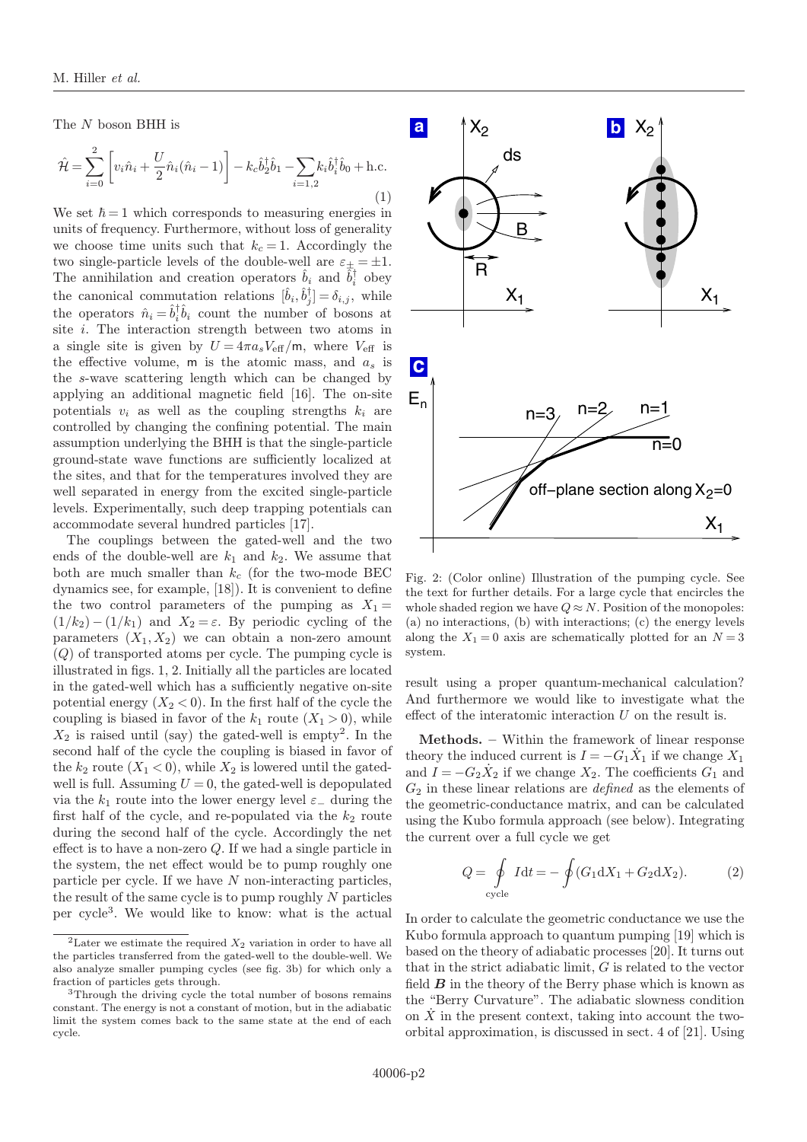The N boson BHH is

$$
\hat{\mathcal{H}} = \sum_{i=0}^{2} \left[ v_i \hat{n}_i + \frac{U}{2} \hat{n}_i (\hat{n}_i - 1) \right] - k_c \hat{b}_2^{\dagger} \hat{b}_1 - \sum_{i=1,2} k_i \hat{b}_i^{\dagger} \hat{b}_0 + \text{h.c.}
$$
\n(1)

We set  $\hbar = 1$  which corresponds to measuring energies in units of frequency. Furthermore, without loss of generality we choose time units such that  $k_c = 1$ . Accordingly the two single-particle levels of the double-well are  $\varepsilon_{\pm} = \pm 1$ . The annihilation and creation operators  $\hat{b}_i$  and  $\hat{b}_i^{\dagger}$  obey the canonical commutation relations  $[\hat{b}_i, \hat{b}_j^{\dagger}] = \delta_{i,j}$ , while the operators  $\hat{n}_i = \hat{b}_i^{\dagger} \hat{b}_i$  count the number of bosons at site  $i$ . The interaction strength between two atoms in a single site is given by  $U = 4\pi a_s V_{\text{eff}}/m$ , where  $V_{\text{eff}}$  is the effective volume,  $m$  is the atomic mass, and  $a_s$  is the s-wave scattering length which can be changed by applying an additional magnetic field [16]. The on-site potentials  $v_i$  as well as the coupling strengths  $k_i$  are controlled by changing the confining potential. The main assumption underlying the BHH is that the single-particle ground-state wave functions are sufficiently localized at the sites, and that for the temperatures involved they are well separated in energy from the excited single-particle levels. Experimentally, such deep trapping potentials can accommodate several hundred particles [17].

The couplings between the gated-well and the two ends of the double-well are  $k_1$  and  $k_2$ . We assume that both are much smaller than  $k_c$  (for the two-mode BEC dynamics see, for example, [18]). It is convenient to define the two control parameters of the pumping as  $X_1 =$  $(1/k_2) - (1/k_1)$  and  $X_2 = \varepsilon$ . By periodic cycling of the parameters  $(X_1, X_2)$  we can obtain a non-zero amount (Q) of transported atoms per cycle. The pumping cycle is illustrated in figs. 1, 2. Initially all the particles are located in the gated-well which has a sufficiently negative on-site potential energy  $(X_2 < 0)$ . In the first half of the cycle the coupling is biased in favor of the  $k_1$  route  $(X_1 > 0)$ , while  $X_2$  is raised until (say) the gated-well is empty<sup>2</sup>. In the second half of the cycle the coupling is biased in favor of the  $k_2$  route  $(X_1 < 0)$ , while  $X_2$  is lowered until the gatedwell is full. Assuming  $U = 0$ , the gated-well is depopulated via the  $k_1$  route into the lower energy level  $\varepsilon_-\,$  during the first half of the cycle, and re-populated via the  $k_2$  route during the second half of the cycle. Accordingly the net effect is to have a non-zero Q. If we had a single particle in the system, the net effect would be to pump roughly one particle per cycle. If we have  $N$  non-interacting particles, the result of the same cycle is to pump roughly  $N$  particles per cycle<sup>3</sup> . We would like to know: what is the actual



Fig. 2: (Color online) Illustration of the pumping cycle. See the text for further details. For a large cycle that encircles the whole shaded region we have  $Q \approx N$ . Position of the monopoles: (a) no interactions, (b) with interactions; (c) the energy levels along the  $X_1 = 0$  axis are schematically plotted for an  $N = 3$ system.

result using a proper quantum-mechanical calculation? And furthermore we would like to investigate what the effect of the interatomic interaction  $U$  on the result is.

Methods. – Within the framework of linear response theory the induced current is  $I = -G_1 \dot{X}_1$  if we change  $X_1$ and  $I = -G_2 \dot{X}_2$  if we change  $X_2$ . The coefficients  $G_1$  and  $G_2$  in these linear relations are *defined* as the elements of the geometric-conductance matrix, and can be calculated using the Kubo formula approach (see below). Integrating the current over a full cycle we get

$$
Q = \oint\limits_{\text{cycle}} Idt = -\oint (G_1 \mathrm{d}X_1 + G_2 \mathrm{d}X_2). \tag{2}
$$

In order to calculate the geometric conductance we use the Kubo formula approach to quantum pumping [19] which is based on the theory of adiabatic processes [20]. It turns out that in the strict adiabatic limit,  $G$  is related to the vector field  $\boldsymbol{B}$  in the theory of the Berry phase which is known as the "Berry Curvature". The adiabatic slowness condition on  $\dot{X}$  in the present context, taking into account the twoorbital approximation, is discussed in sect. 4 of [21]. Using

<sup>&</sup>lt;sup>2</sup>Later we estimate the required  $X_2$  variation in order to have all the particles transferred from the gated-well to the double-well. We also analyze smaller pumping cycles (see fig. 3b) for which only a fraction of particles gets through.

<sup>3</sup>Through the driving cycle the total number of bosons remains constant. The energy is not a constant of motion, but in the adiabatic limit the system comes back to the same state at the end of each cycle.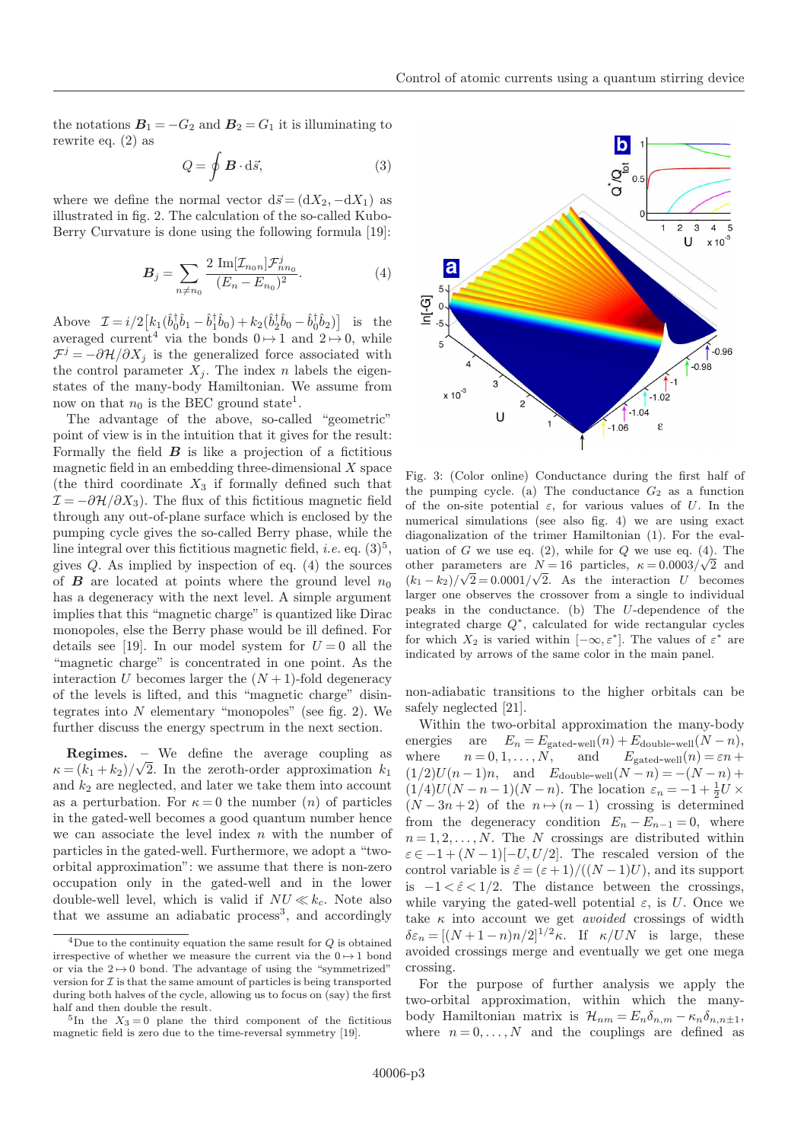the notations  $B_1 = -G_2$  and  $B_2 = G_1$  it is illuminating to rewrite eq. (2) as

$$
Q = \oint \mathbf{B} \cdot d\vec{s},\tag{3}
$$

where we define the normal vector  $d\vec{s} = (dX_2, -dX_1)$  as illustrated in fig. 2. The calculation of the so-called Kubo-Berry Curvature is done using the following formula [19]:

$$
B_j = \sum_{n \neq n_0} \frac{2 \operatorname{Im}[\mathcal{I}_{n_0 n}] \mathcal{F}_{nn_0}^j}{(E_n - E_{n_0})^2}.
$$
 (4)

Above  $\mathcal{I} = i/2 \left[ k_1 (\hat{b}_0^{\dagger} \hat{b}_1 - \hat{b}_1^{\dagger} \hat{b}_0) + k_2 (\hat{b}_2^{\dagger} \hat{b}_0 - \hat{b}_0^{\dagger} \hat{b}_2) \right]$  is the averaged current<sup>4</sup> via the bonds  $0 \mapsto 1$  and  $2 \mapsto 0$ , while  $\mathcal{F}^j = -\partial \mathcal{H}/\partial X_j$  is the generalized force associated with the control parameter  $X_i$ . The index n labels the eigenstates of the many-body Hamiltonian. We assume from now on that  $n_0$  is the BEC ground state<sup>1</sup>.

The advantage of the above, so-called "geometric" point of view is in the intuition that it gives for the result: Formally the field  $\boldsymbol{B}$  is like a projection of a fictitious magnetic field in an embedding three-dimensional  $X$  space (the third coordinate  $X_3$  if formally defined such that  $\mathcal{I} = -\partial \mathcal{H}/\partial X_3$ . The flux of this fictitious magnetic field through any out-of-plane surface which is enclosed by the pumping cycle gives the so-called Berry phase, while the line integral over this fictitious magnetic field, *i.e.* eq.  $(3)^5$ , gives  $Q$ . As implied by inspection of eq.  $(4)$  the sources of **B** are located at points where the ground level  $n_0$ has a degeneracy with the next level. A simple argument implies that this "magnetic charge" is quantized like Dirac monopoles, else the Berry phase would be ill defined. For details see [19]. In our model system for  $U = 0$  all the "magnetic charge" is concentrated in one point. As the interaction U becomes larger the  $(N+1)$ -fold degeneracy of the levels is lifted, and this "magnetic charge" disintegrates into  $N$  elementary "monopoles" (see fig. 2). We further discuss the energy spectrum in the next section.

Regimes. – We define the average coupling as  $\kappa = (k_1 + k_2)/\sqrt{2}$ . In the zeroth-order approximation  $k_1$ and  $k_2$  are neglected, and later we take them into account as a perturbation. For  $\kappa = 0$  the number  $(n)$  of particles in the gated-well becomes a good quantum number hence we can associate the level index  $n$  with the number of particles in the gated-well. Furthermore, we adopt a "twoorbital approximation": we assume that there is non-zero occupation only in the gated-well and in the lower double-well level, which is valid if  $NU \ll k_c$ . Note also that we assume an adiabatic process<sup>3</sup>, and accordingly



Fig. 3: (Color online) Conductance during the first half of the pumping cycle. (a) The conductance  $G_2$  as a function of the on-site potential  $\varepsilon$ , for various values of U. In the numerical simulations (see also fig. 4) we are using exact diagonalization of the trimer Hamiltonian (1). For the evaluation of G we use eq.  $(2)$ , while for Q we use eq.  $(4)$ . The other parameters are  $N=16$  particles,  $\kappa = 0.0003/\sqrt{2}$  and  $(k_1 - k_2)/\sqrt{2} = 0.0001/\sqrt{2}$ . As the interaction U becomes larger one observes the crossover from a single to individual peaks in the conductance. (b) The U-dependence of the integrated charge  $Q^*$ , calculated for wide rectangular cycles for which  $X_2$  is varied within  $[-\infty, \varepsilon^*]$ . The values of  $\varepsilon^*$  are indicated by arrows of the same color in the main panel.

non-adiabatic transitions to the higher orbitals can be safely neglected [21].

Within the two-orbital approximation the many-body energies are  $E_n = E_{\text{gated-well}}(n) + E_{\text{double-well}}(N - n)$ ,<br>where  $n = 0, 1, ..., N$ , and  $E_{\text{gated-well}}(n) = \varepsilon n +$  $n = 0, 1, \ldots, N$ , and  $(1/2)U(n-1)n$ , and  $E_{\text{double-well}}(N-n) = -(N-n) +$  $(1/4)U(N-n-1)(N-n)$ . The location  $\varepsilon_n = -1 + \frac{1}{2}U \times$  $(N-3n+2)$  of the  $n \mapsto (n-1)$  crossing is determined from the degeneracy condition  $E_n - E_{n-1} = 0$ , where  $n = 1, 2, \ldots, N$ . The N crossings are distributed within  $\varepsilon \in -1+(N-1)[-U, U/2]$ . The rescaled version of the control variable is  $\hat{\epsilon} = (\epsilon + 1)/((N - 1)U)$ , and its support is  $-1 < \hat{\epsilon} < 1/2$ . The distance between the crossings.  $-1 < \hat{\epsilon} < 1/2$ . The distance between the crossings, while varying the gated-well potential  $\varepsilon$ , is U. Once we take  $\kappa$  into account we get *avoided* crossings of width  $\delta \varepsilon_n = [(N+1-n)n/2]^{1/2} \kappa$ . If  $\kappa/UN$  is large, these avoided crossings merge and eventually we get one mega crossing.

For the purpose of further analysis we apply the two-orbital approximation, within which the manybody Hamiltonian matrix is  $\mathcal{H}_{nm} = E_n \delta_{n,m} - \kappa_n \delta_{n,n\pm 1}$ , where  $n = 0, \ldots, N$  and the couplings are defined as

<sup>&</sup>lt;sup>4</sup>Due to the continuity equation the same result for  $Q$  is obtained irrespective of whether we measure the current via the  $0 \mapsto 1$  bond or via the  $2 \mapsto 0$  bond. The advantage of using the "symmetrized" version for  $\mathcal I$  is that the same amount of particles is being transported during both halves of the cycle, allowing us to focus on (say) the first half and then double the result.

 ${}^{5}$ In the  $X_3 = 0$  plane the third component of the fictitious magnetic field is zero due to the time-reversal symmetry [19].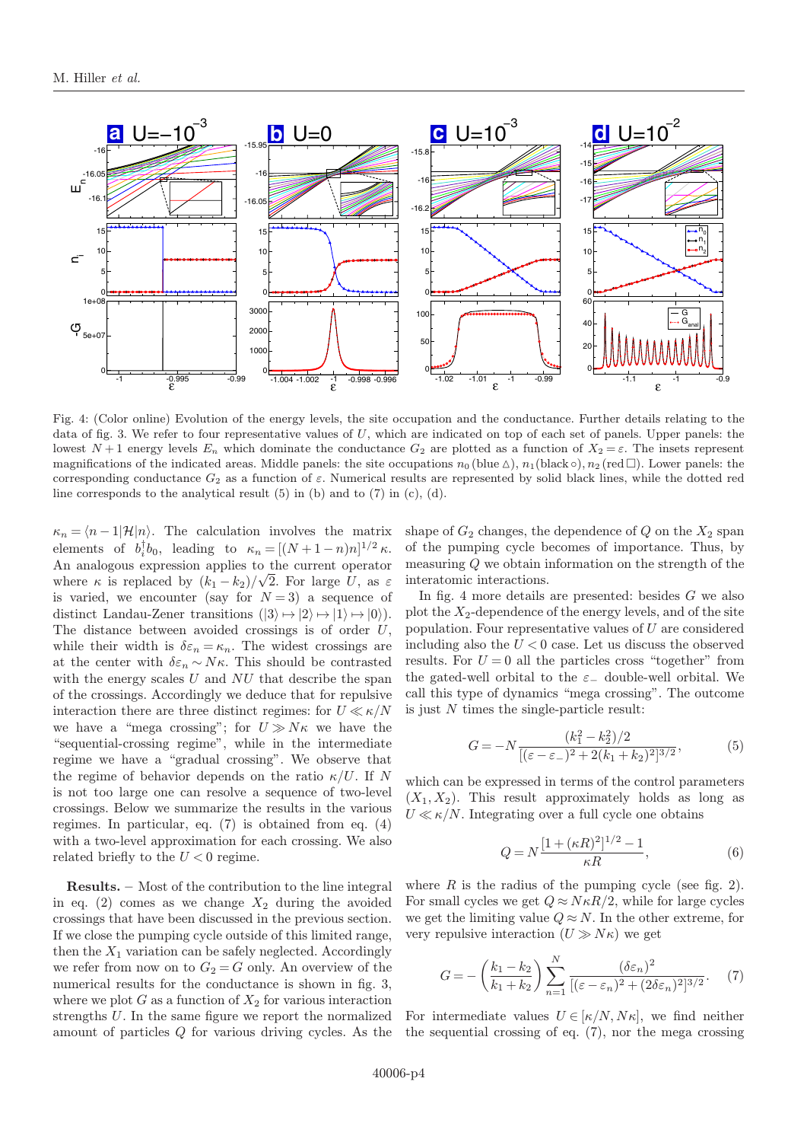

Fig. 4: (Color online) Evolution of the energy levels, the site occupation and the conductance. Further details relating to the data of fig. 3. We refer to four representative values of U, which are indicated on top of each set of panels. Upper panels: the lowest  $N+1$  energy levels  $E_n$  which dominate the conductance  $G_2$  are plotted as a function of  $X_2 = \varepsilon$ . The insets represent magnifications of the indicated areas. Middle panels: the site occupations  $n_0$  (blue  $\triangle$ ),  $n_1$ (black  $\circ$ ),  $n_2$  (red  $\Box$ ). Lower panels: the corresponding conductance  $G_2$  as a function of  $\varepsilon$ . Numerical results are represented by solid black lines, while the dotted red line corresponds to the analytical result  $(5)$  in  $(b)$  and to  $(7)$  in  $(c)$ ,  $(d)$ .

 $\kappa_n = \langle n - 1 | \mathcal{H} | n \rangle$ . The calculation involves the matrix elements of  $b_i^{\dagger}b_0$ , leading to  $\kappa_n = [(N+1-n)n]^{1/2} \kappa$ . An analogous expression applies to the current operator where  $\kappa$  is replaced by  $(k_1 - k_2)/\sqrt{2}$ . For large U, as  $\varepsilon$ is varied, we encounter (say for  $N = 3$ ) a sequence of distinct Landau-Zener transitions  $(|3\rangle \mapsto |2\rangle \mapsto |1\rangle \mapsto |0\rangle)$ . The distance between avoided crossings is of order  $U$ , while their width is  $\delta \varepsilon_n = \kappa_n$ . The widest crossings are at the center with  $\delta \varepsilon_n \sim N\kappa$ . This should be contrasted with the energy scales  $U$  and  $NU$  that describe the span of the crossings. Accordingly we deduce that for repulsive interaction there are three distinct regimes: for  $U \ll \kappa/N$ we have a "mega crossing"; for  $U \gg N\kappa$  we have the "sequential-crossing regime", while in the intermediate regime we have a "gradual crossing". We observe that the regime of behavior depends on the ratio  $\kappa/U$ . If N is not too large one can resolve a sequence of two-level crossings. Below we summarize the results in the various regimes. In particular, eq. (7) is obtained from eq. (4) with a two-level approximation for each crossing. We also related briefly to the  $U < 0$  regime.

Results. – Most of the contribution to the line integral in eq.  $(2)$  comes as we change  $X_2$  during the avoided crossings that have been discussed in the previous section. If we close the pumping cycle outside of this limited range, then the  $X_1$  variation can be safely neglected. Accordingly we refer from now on to  $G_2 = G$  only. An overview of the numerical results for the conductance is shown in fig. 3, where we plot  $G$  as a function of  $X_2$  for various interaction strengths U. In the same figure we report the normalized amount of particles Q for various driving cycles. As the shape of  $G_2$  changes, the dependence of  $Q$  on the  $X_2$  span of the pumping cycle becomes of importance. Thus, by measuring Q we obtain information on the strength of the interatomic interactions.

In fig. 4 more details are presented: besides G we also plot the  $X_2$ -dependence of the energy levels, and of the site population. Four representative values of  $U$  are considered including also the  $U < 0$  case. Let us discuss the observed results. For  $U = 0$  all the particles cross "together" from the gated-well orbital to the  $\varepsilon_-\$  double-well orbital. We call this type of dynamics "mega crossing". The outcome is just  $N$  times the single-particle result:

$$
G = -N \frac{(k_1^2 - k_2^2)/2}{[(\varepsilon - \varepsilon_-)^2 + 2(k_1 + k_2)^2]^{3/2}},\tag{5}
$$

which can be expressed in terms of the control parameters  $(X_1, X_2)$ . This result approximately holds as long as  $U \ll \kappa/N$ . Integrating over a full cycle one obtains

$$
Q = N \frac{[1 + (\kappa R)^2]^{1/2} - 1}{\kappa R},
$$
\n(6)

where  $R$  is the radius of the pumping cycle (see fig. 2). For small cycles we get  $Q \approx N \kappa R/2$ , while for large cycles we get the limiting value  $Q \approx N$ . In the other extreme, for very repulsive interaction  $(U \gg N\kappa)$  we get

$$
G = -\left(\frac{k_1 - k_2}{k_1 + k_2}\right) \sum_{n=1}^{N} \frac{(\delta \varepsilon_n)^2}{\left[ (\varepsilon - \varepsilon_n)^2 + (2\delta \varepsilon_n)^2 \right]^{3/2}}.\tag{7}
$$

For intermediate values  $U \in [\kappa/N, N\kappa]$ , we find neither the sequential crossing of eq. (7), nor the mega crossing